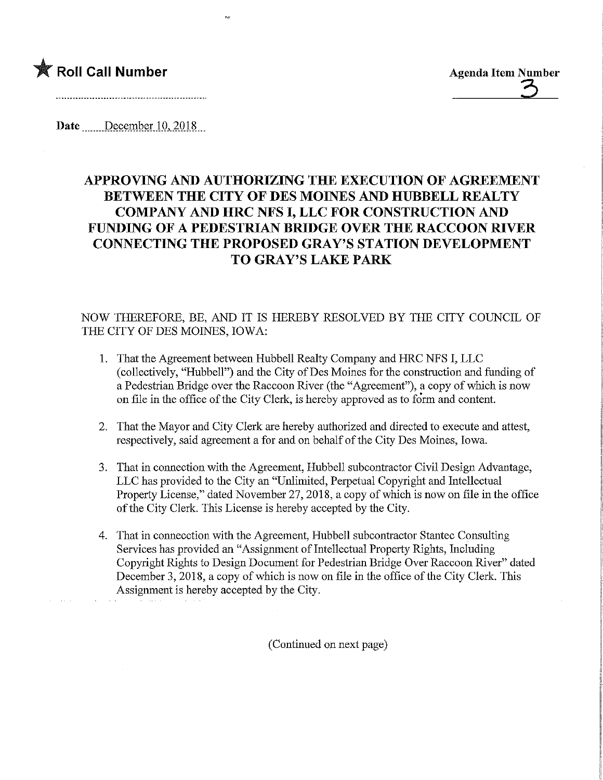

**Agenda Item Number** 

ķ.

Date December 10, 2018

## APPROVING AND AUTHORIZING THE EXECUTION OF AGREEMENT BETWEEN THE CITY OF DES MOINES AND HUBBELL REALTY COMPANY AND HRC NFS I, LLC FOR CONSTRUCTION AND FUNDING OF A PEDESTRIAN BRIDGE OVER THE RACCOON MVER CONNECTING THE PROPOSED GRAY'S STATION DEVELOPMENT TO GRAY'S LAKE PARK

## NOW THEREFORE, BE, AND IT IS HEREBY RESOLVED BY THE CITY COUNCIL OF THE CITY OF DES MOINES, IOWA:

- 1. That the Agreement between Hubbell Realty Company and HRC NFS I, LLC (collectively, "Hubbell") and the City of Des Moines for the construction and funding of a Pedestrian Bridge over the Raccoon River (the "Agreement"), a copy of which is now on file in the office of the City Clerk, is hereby approved as to form and content.
- 2. That the Mayor and City Clerk are hereby authorized and directed to execute and attest, respectively, said agreement a for and on behalf of the City Des Moines, Iowa.
- 3. That in connection with the Agreement, Hubbell subcontractor Civil Design Advantage, LLC has provided to the City an "Unlimited, Perpetual Copyright and Intellectual Property License," dated November 27, 2018, a copy of which is now on file in the office of the City Clerk. This License is hereby accepted by the City.
- 4. That in connecction with the Agreement, Hubbell subcontractor Stantec Consulting Services has provided an "Assignment of Intellectual Property Rights, Including Copyright Rights to Design Document for Pedestrian Bridge Over Raccoon River" dated December 3, 2018, a copy of which is now on file in the office of the City Clerk. This Assignment is hereby accepted by the City.

(Continued on next page)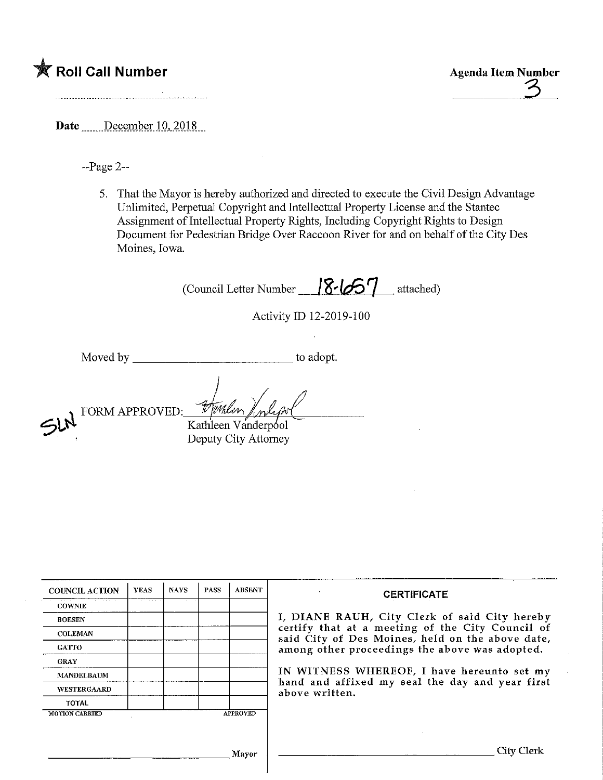## **K** Roll Call Number

Date December 10, 2018

-Page 2—

That the Mayor is hereby authorized and directed to execute the Civil Design Advantage Unlimited, Perpetual Copyright and Intellectual Property License and the Stantec Assignment of Intellectual Property Rights, Including Copyright Rights to Design Document for Pedestrian Bridge Over Raccoon River for and on behalf of the City Des Moines, Iowa.

(Council Letter Number  $\sqrt{8}$ / $\sqrt{6}$ ] attached)

Activity ID 12-2019-100

Moved by settled and the state of the adopt.

 $5h$ FORM APPROVED: Kathleen Vanderp^ol

Deputy City Attorney

COUNCIL ACTION **COWNIE** BOESEN COLEMAN **GATTO** GRAY MANDELBAUM WESTERGAARD TOTAL YEAS MOTION CARRIED NAYS | PASS APPROVED ABSENT Mayor **CERTIFICATE** I/ DIANE RAUH, City Clerk of said City hereby certify that at a meeting of the City Council of said City of Des Moines, held on the above date, among other proceedings the above was adopted. IN WITNESS WHEREOF, I have hereunto set my hand and affixed my seal the day and year first above written. City Clerk